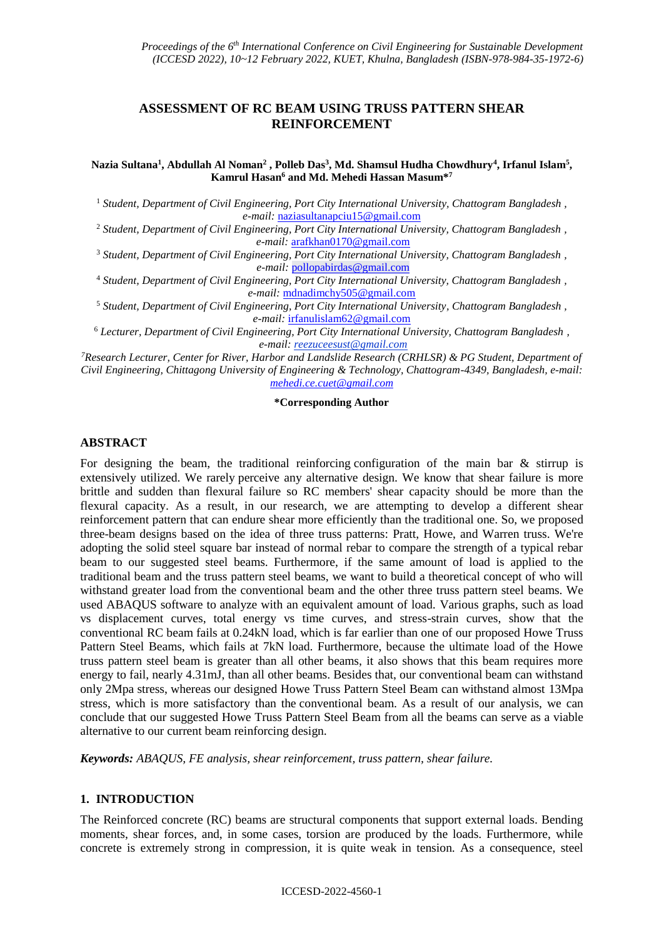# **ASSESSMENT OF RC BEAM USING TRUSS PATTERN SHEAR REINFORCEMENT**

**Nazia Sultana<sup>1</sup> , Abdullah Al Noman<sup>2</sup> , Polleb Das<sup>3</sup> , Md. Shamsul Hudha Chowdhury<sup>4</sup> , Irfanul Islam<sup>5</sup> , Kamrul Hasan<sup>6</sup> and Md. Mehedi Hassan Masum\* 7**

<sup>1</sup> *Student, Department of Civil Engineering, Port City International University, Chattogram Bangladesh , e-mail:* [naziasultanapciu15@gmail.com](mailto:naziasultanapciu15@gmail.com)

<sup>2</sup> *Student, Department of Civil Engineering, Port City International University, Chattogram Bangladesh , e-mail:* [arafkhan0170@gmail.com](mailto:arafkhan0170@gmail.com)

<sup>3</sup> *Student, Department of Civil Engineering, Port City International University, Chattogram Bangladesh , e-mail:* [pollopabirdas@gmail.com](mailto:pollopabirdas@gmail.com)

<sup>4</sup> *Student, Department of Civil Engineering, Port City International University, Chattogram Bangladesh , e-mail:* [mdnadimchy505@gmail.com](mailto:mdnadimchy505@gmail.com)

<sup>5</sup> *Student, Department of Civil Engineering, Port City International University, Chattogram Bangladesh , e-mail:* [irfanulislam62@gmail.com](mailto:irfanulislam62@gmail.com)

<sup>6</sup> *Lecturer, Department of Civil Engineering, Port City International University, Chattogram Bangladesh , e-mail: reezuceesust@gmail.com*

*<sup>7</sup>Research Lecturer, Center for River, Harbor and Landslide Research (CRHLSR) & PG Student, Department of Civil Engineering, Chittagong University of Engineering & Technology, Chattogram-4349, Bangladesh, e-mail: [mehedi.ce.cuet@gmail.com](mailto:mehedi.ce.cuet@gmail.com)*

#### **\*Corresponding Author**

#### **ABSTRACT**

For designing the beam, the traditional reinforcing configuration of the main bar & stirrup is extensively utilized. We rarely perceive any alternative design. We know that shear failure is more brittle and sudden than flexural failure so RC members' shear capacity should be more than the flexural capacity. As a result, in our research, we are attempting to develop a different shear reinforcement pattern that can endure shear more efficiently than the traditional one. So, we proposed three-beam designs based on the idea of three truss patterns: Pratt, Howe, and Warren truss. We're adopting the solid steel square bar instead of normal rebar to compare the strength of a typical rebar beam to our suggested steel beams. Furthermore, if the same amount of load is applied to the traditional beam and the truss pattern steel beams, we want to build a theoretical concept of who will withstand greater load from the conventional beam and the other three truss pattern steel beams. We used ABAQUS software to analyze with an equivalent amount of load. Various graphs, such as load vs displacement curves, total energy vs time curves, and stress-strain curves, show that the conventional RC beam fails at 0.24kN load, which is far earlier than one of our proposed Howe Truss Pattern Steel Beams, which fails at 7kN load. Furthermore, because the ultimate load of the Howe truss pattern steel beam is greater than all other beams, it also shows that this beam requires more energy to fail, nearly 4.31mJ, than all other beams. Besides that, our conventional beam can withstand only 2Mpa stress, whereas our designed Howe Truss Pattern Steel Beam can withstand almost 13Mpa stress, which is more satisfactory than the conventional beam. As a result of our analysis, we can conclude that our suggested Howe Truss Pattern Steel Beam from all the beams can serve as a viable alternative to our current beam reinforcing design.

*Keywords: ABAQUS, FE analysis, shear reinforcement, truss pattern, shear failure.*

### **1. INTRODUCTION**

The Reinforced concrete (RC) beams are structural components that support external loads. Bending moments, shear forces, and, in some cases, torsion are produced by the loads. Furthermore, while concrete is extremely strong in compression, it is quite weak in tension. As a consequence, steel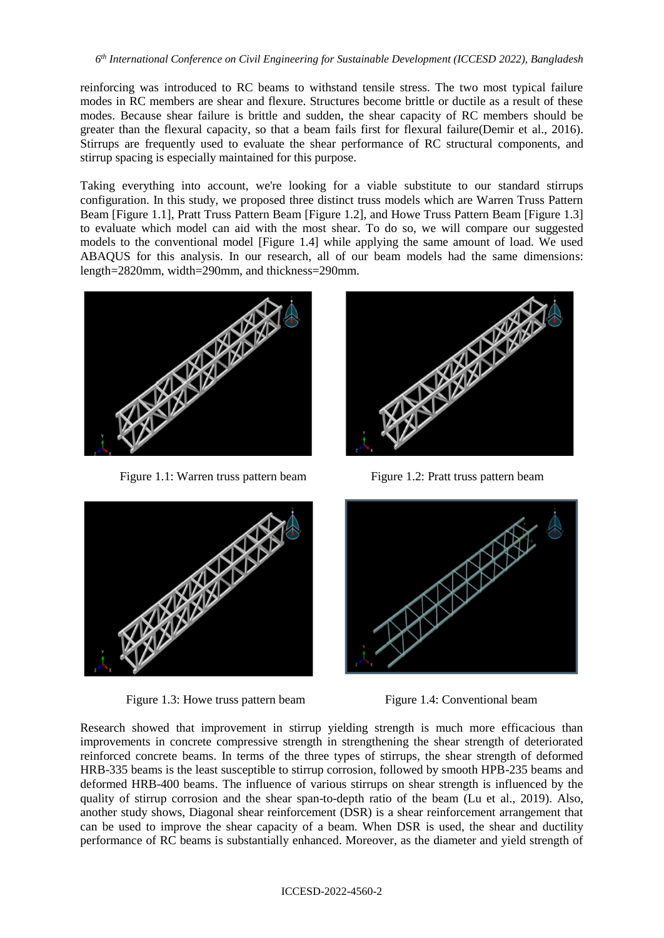reinforcing was introduced to RC beams to withstand tensile stress. The two most typical failure modes in RC members are shear and flexure. Structures become brittle or ductile as a result of these modes. Because shear failure is brittle and sudden, the shear capacity of RC members should be greater than the flexural capacity, so that a beam fails first for flexural failure(Demir et al., 2016). Stirrups are frequently used to evaluate the shear performance of RC structural components, and stirrup spacing is especially maintained for this purpose.

Taking everything into account, we're looking for a viable substitute to our standard stirrups configuration. In this study, we proposed three distinct truss models which are Warren Truss Pattern Beam [Figure 1.1], Pratt Truss Pattern Beam [Figure 1.2], and Howe Truss Pattern Beam [Figure 1.3] to evaluate which model can aid with the most shear. To do so, we will compare our suggested models to the conventional model [Figure 1.4] while applying the same amount of load. We used ABAQUS for this analysis. In our research, all of our beam models had the same dimensions: length=2820mm, width=290mm, and thickness=290mm.



Figure 1.1: Warren truss pattern beam Figure 1.2: Pratt truss pattern beam



Figure 1.3: Howe truss pattern beam Figure 1.4: Conventional beam





Research showed that improvement in stirrup yielding strength is much more efficacious than improvements in concrete compressive strength in strengthening the shear strength of deteriorated reinforced concrete beams. In terms of the three types of stirrups, the shear strength of deformed HRB-335 beams is the least susceptible to stirrup corrosion, followed by smooth HPB-235 beams and deformed HRB-400 beams. The influence of various stirrups on shear strength is influenced by the quality of stirrup corrosion and the shear span-to-depth ratio of the beam (Lu et al., 2019). Also, another study shows, Diagonal shear reinforcement (DSR) is a shear reinforcement arrangement that can be used to improve the shear capacity of a beam. When DSR is used, the shear and ductility performance of RC beams is substantially enhanced. Moreover, as the diameter and yield strength of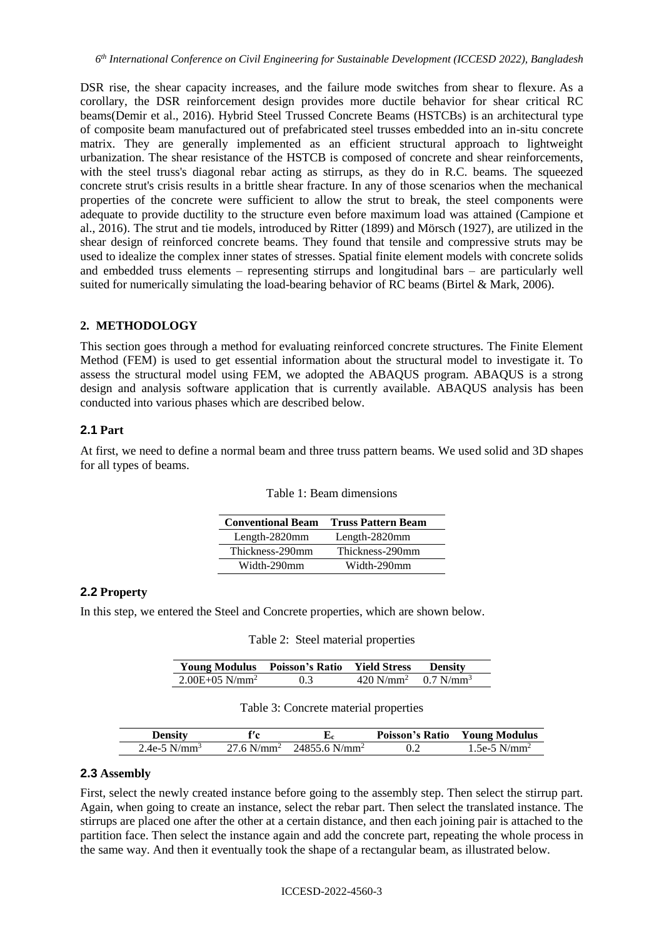DSR rise, the shear capacity increases, and the failure mode switches from shear to flexure. As a corollary, the DSR reinforcement design provides more ductile behavior for shear critical RC beams(Demir et al., 2016). Hybrid Steel Trussed Concrete Beams (HSTCBs) is an architectural type of composite beam manufactured out of prefabricated steel trusses embedded into an in-situ concrete matrix. They are generally implemented as an efficient structural approach to lightweight urbanization. The shear resistance of the HSTCB is composed of concrete and shear reinforcements, with the steel truss's diagonal rebar acting as stirrups, as they do in R.C. beams. The squeezed concrete strut's crisis results in a brittle shear fracture. In any of those scenarios when the mechanical properties of the concrete were sufficient to allow the strut to break, the steel components were adequate to provide ductility to the structure even before maximum load was attained (Campione et al., 2016). The strut and tie models, introduced by Ritter (1899) and Mörsch (1927), are utilized in the shear design of reinforced concrete beams. They found that tensile and compressive struts may be used to idealize the complex inner states of stresses. Spatial finite element models with concrete solids and embedded truss elements – representing stirrups and longitudinal bars – are particularly well suited for numerically simulating the load-bearing behavior of RC beams (Birtel  $\&$  Mark, 2006).

### **2. METHODOLOGY**

This section goes through a method for evaluating reinforced concrete structures. The Finite Element Method (FEM) is used to get essential information about the structural model to investigate it. To assess the structural model using FEM, we adopted the ABAQUS program. ABAQUS is a strong design and analysis software application that is currently available. ABAQUS analysis has been conducted into various phases which are described below.

### **2.1 Part**

At first, we need to define a normal beam and three truss pattern beams. We used solid and 3D shapes for all types of beams.

| <b>Conventional Beam</b> | <b>Truss Pattern Beam</b> |
|--------------------------|---------------------------|
| Length- $2820$ mm        | Length- $2820$ mm         |
| Thickness-290mm          | Thickness-290mm           |
| Width-290mm              | Width-290mm               |

|  |  |  |  | Table 1: Beam dimensions |
|--|--|--|--|--------------------------|
|--|--|--|--|--------------------------|

## **2.2 Property**

In this step, we entered the Steel and Concrete properties, which are shown below.

Table 2: Steel material properties

| <b>Young Modulus Poisson's Ratio Yield Stress</b> |                  |                                            | <b>Density</b> |
|---------------------------------------------------|------------------|--------------------------------------------|----------------|
| $2.00E + 0.5$ N/mm <sup>2</sup>                   | 0.3 <sup>2</sup> | $420 \text{ N/mm}^2$ 0.7 N/mm <sup>3</sup> |                |

#### Table 3: Concrete material properties

| Density                    | f′c                      |                           | <b>Poisson's Ratio</b> | <b>Young Modulus</b> |
|----------------------------|--------------------------|---------------------------|------------------------|----------------------|
| $2.4e-5$ N/mm <sup>3</sup> | $27.6$ N/mm <sup>2</sup> | 24855.6 N/mm <sup>2</sup> |                        | 1.5e-5 $N/mm^2$      |

# **2.3 Assembly**

First, select the newly created instance before going to the assembly step. Then select the stirrup part. Again, when going to create an instance, select the rebar part. Then select the translated instance. The stirrups are placed one after the other at a certain distance, and then each joining pair is attached to the partition face. Then select the instance again and add the concrete part, repeating the whole process in the same way. And then it eventually took the shape of a rectangular beam, as illustrated below.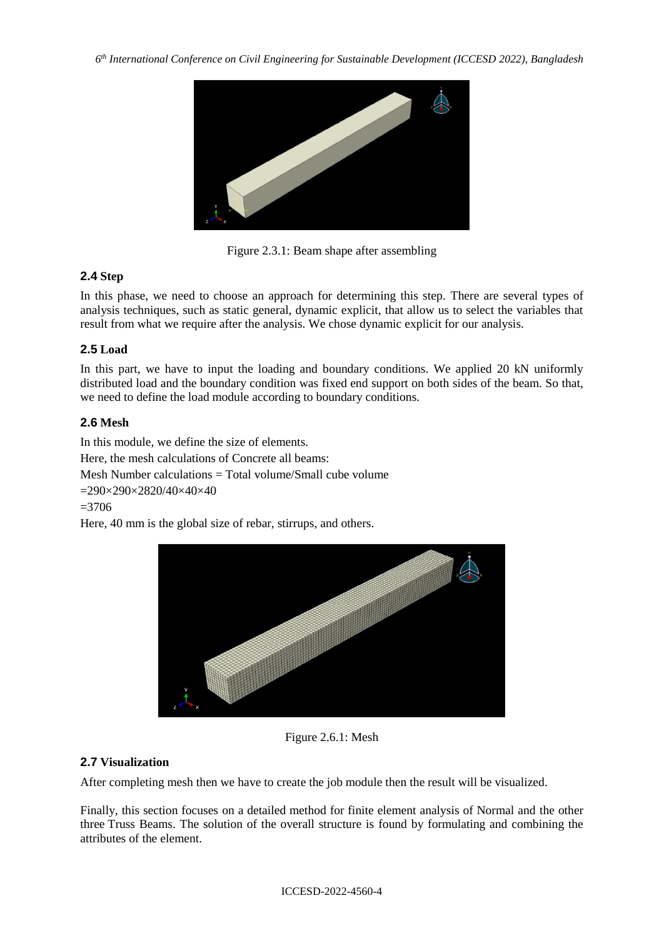

Figure 2.3.1: Beam shape after assembling

# **2.4 Step**

In this phase, we need to choose an approach for determining this step. There are several types of analysis techniques, such as static general, dynamic explicit, that allow us to select the variables that result from what we require after the analysis. We chose dynamic explicit for our analysis.

# **2.5 Load**

In this part, we have to input the loading and boundary conditions. We applied 20 kN uniformly distributed load and the boundary condition was fixed end support on both sides of the beam. So that, we need to define the load module according to boundary conditions.

# **2.6 Mesh**

In this module, we define the size of elements.

Here, the mesh calculations of Concrete all beams:

Mesh Number calculations = Total volume/Small cube volume

=290×290×2820/40×40×40

 $=3706$ 

Here, 40 mm is the global size of rebar, stirrups, and others.



Figure 2.6.1: Mesh

# **2.7 Visualization**

After completing mesh then we have to create the job module then the result will be visualized.

Finally, this section focuses on a detailed method for finite element analysis of Normal and the other three Truss Beams. The solution of the overall structure is found by formulating and combining the attributes of the element.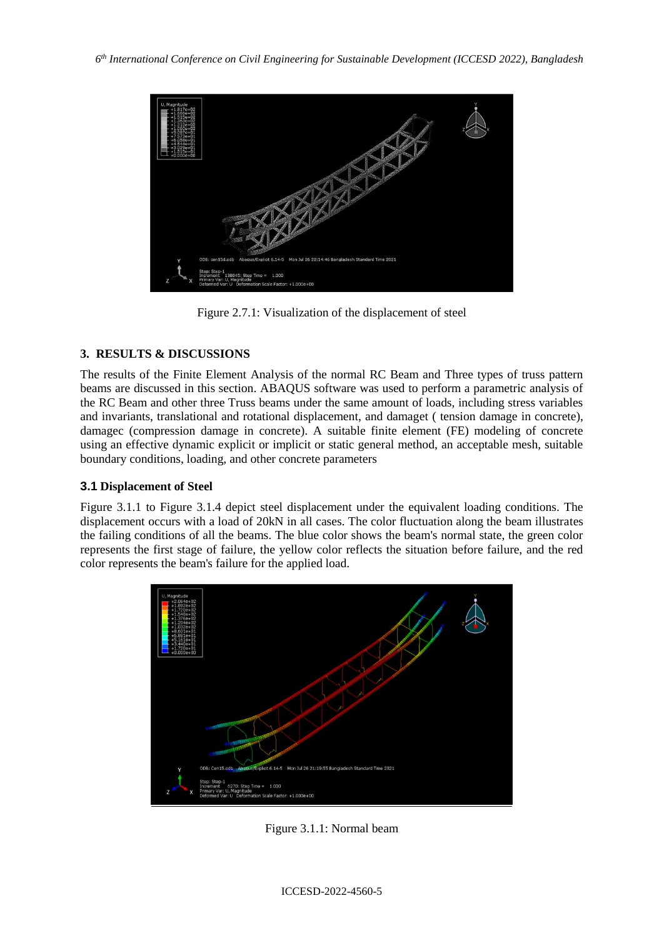

Figure 2.7.1: Visualization of the displacement of steel

# **3. RESULTS & DISCUSSIONS**

The results of the Finite Element Analysis of the normal RC Beam and Three types of truss pattern beams are discussed in this section. ABAQUS software was used to perform a parametric analysis of the RC Beam and other three Truss beams under the same amount of loads, including stress variables and invariants, translational and rotational displacement, and damaget ( tension damage in concrete), damagec (compression damage in concrete). A suitable finite element (FE) modeling of concrete using an effective dynamic explicit or implicit or static general method, an acceptable mesh, suitable boundary conditions, loading, and other concrete parameters

# **3.1 Displacement of Steel**

Figure 3.1.1 to Figure 3.1.4 depict steel displacement under the equivalent loading conditions. The displacement occurs with a load of 20kN in all cases. The color fluctuation along the beam illustrates the failing conditions of all the beams. The blue color shows the beam's normal state, the green color represents the first stage of failure, the yellow color reflects the situation before failure, and the red color represents the beam's failure for the applied load.



Figure 3.1.1: Normal beam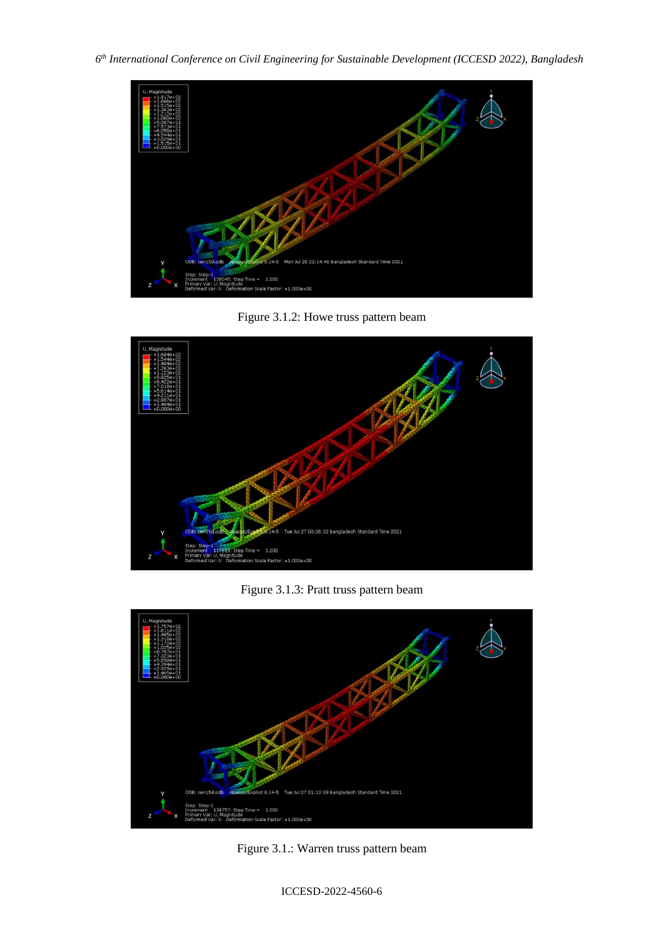

Figure 3.1.2: Howe truss pattern beam



Figure 3.1.3: Pratt truss pattern beam



Figure 3.1.: Warren truss pattern beam

ICCESD-2022-4560-6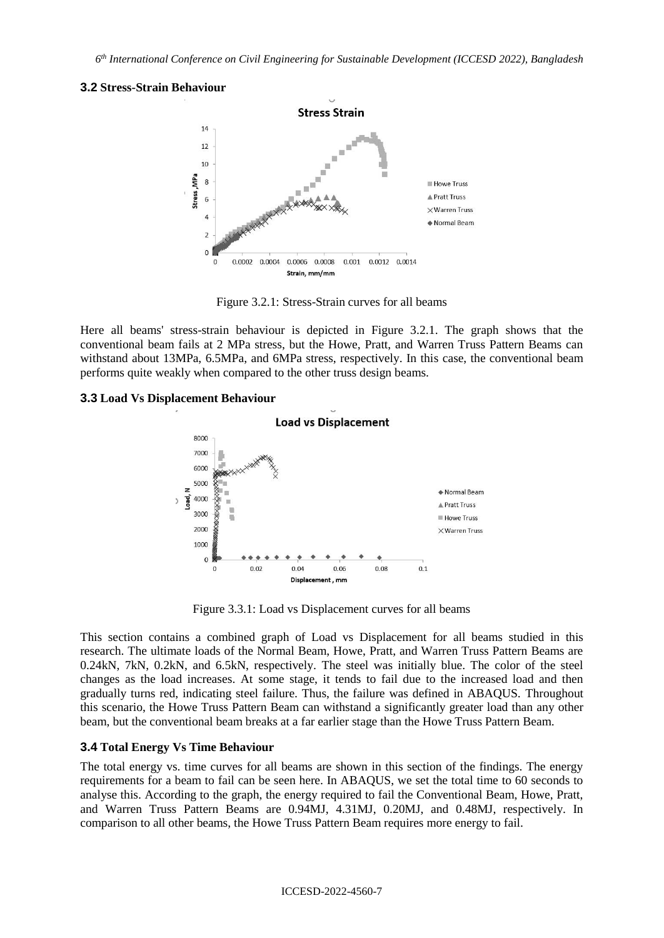## **3.2 Stress-Strain Behaviour**



Figure 3.2.1: Stress-Strain curves for all beams

Here all beams' stress-strain behaviour is depicted in Figure 3.2.1. The graph shows that the conventional beam fails at 2 MPa stress, but the Howe, Pratt, and Warren Truss Pattern Beams can withstand about 13MPa, 6.5MPa, and 6MPa stress, respectively. In this case, the conventional beam performs quite weakly when compared to the other truss design beams.

## **3.3 Load Vs Displacement Behaviour**



Figure 3.3.1: Load vs Displacement curves for all beams

This section contains a combined graph of Load vs Displacement for all beams studied in this research. The ultimate loads of the Normal Beam, Howe, Pratt, and Warren Truss Pattern Beams are 0.24kN, 7kN, 0.2kN, and 6.5kN, respectively. The steel was initially blue. The color of the steel changes as the load increases. At some stage, it tends to fail due to the increased load and then gradually turns red, indicating steel failure. Thus, the failure was defined in ABAQUS. Throughout this scenario, the Howe Truss Pattern Beam can withstand a significantly greater load than any other beam, but the conventional beam breaks at a far earlier stage than the Howe Truss Pattern Beam.

## **3.4 Total Energy Vs Time Behaviour**

The total energy vs. time curves for all beams are shown in this section of the findings. The energy requirements for a beam to fail can be seen here. In ABAQUS, we set the total time to 60 seconds to analyse this. According to the graph, the energy required to fail the Conventional Beam, Howe, Pratt, and Warren Truss Pattern Beams are 0.94MJ, 4.31MJ, 0.20MJ, and 0.48MJ, respectively. In comparison to all other beams, the Howe Truss Pattern Beam requires more energy to fail.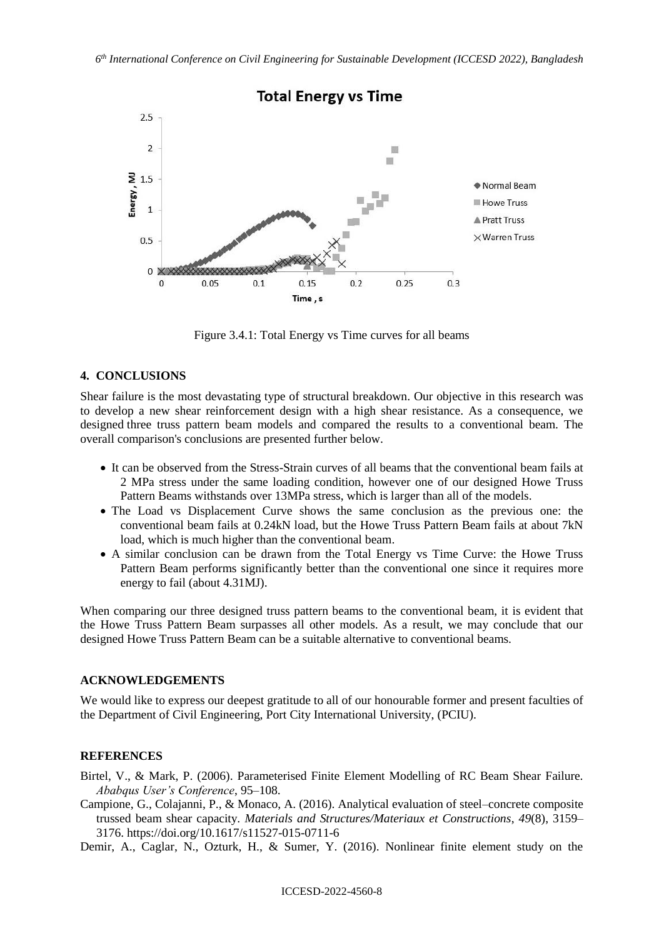

Figure 3.4.1: Total Energy vs Time curves for all beams

### **4. CONCLUSIONS**

Shear failure is the most devastating type of structural breakdown. Our objective in this research was to develop a new shear reinforcement design with a high shear resistance. As a consequence, we designed three truss pattern beam models and compared the results to a conventional beam. The overall comparison's conclusions are presented further below.

- It can be observed from the Stress-Strain curves of all beams that the conventional beam fails at 2 MPa stress under the same loading condition, however one of our designed Howe Truss Pattern Beams withstands over 13MPa stress, which is larger than all of the models.
- The Load vs Displacement Curve shows the same conclusion as the previous one: the conventional beam fails at 0.24kN load, but the Howe Truss Pattern Beam fails at about 7kN load, which is much higher than the conventional beam.
- A similar conclusion can be drawn from the Total Energy vs Time Curve: the Howe Truss Pattern Beam performs significantly better than the conventional one since it requires more energy to fail (about 4.31MJ).

When comparing our three designed truss pattern beams to the conventional beam, it is evident that the Howe Truss Pattern Beam surpasses all other models. As a result, we may conclude that our designed Howe Truss Pattern Beam can be a suitable alternative to conventional beams.

### **ACKNOWLEDGEMENTS**

We would like to express our deepest gratitude to all of our honourable former and present faculties of the Department of Civil Engineering, Port City International University, (PCIU).

#### **REFERENCES**

Birtel, V., & Mark, P. (2006). Parameterised Finite Element Modelling of RC Beam Shear Failure. *Ababqus User's Conference*, 95–108.

Campione, G., Colajanni, P., & Monaco, A. (2016). Analytical evaluation of steel–concrete composite trussed beam shear capacity. *Materials and Structures/Materiaux et Constructions*, *49*(8), 3159– 3176. https://doi.org/10.1617/s11527-015-0711-6

Demir, A., Caglar, N., Ozturk, H., & Sumer, Y. (2016). Nonlinear finite element study on the